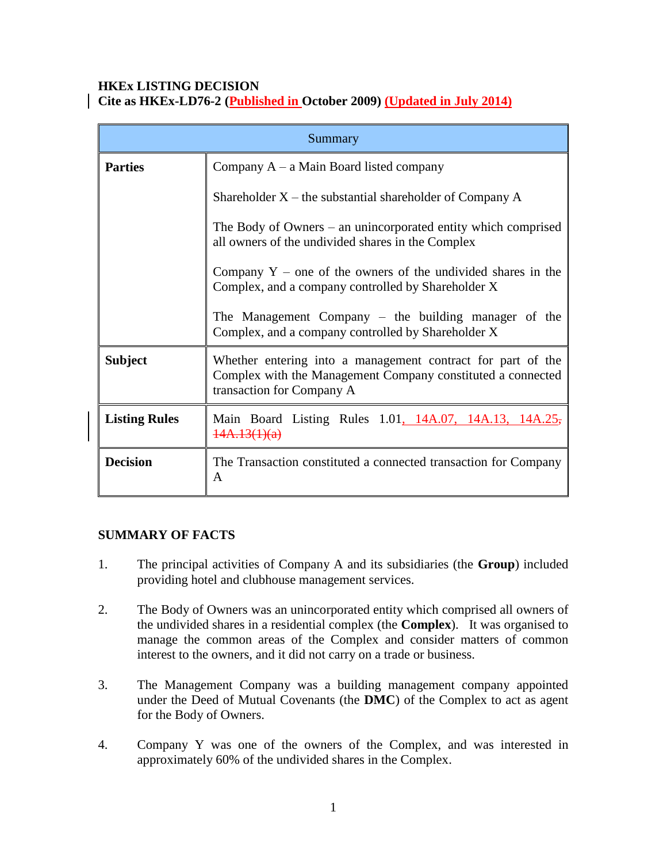### **HKEx LISTING DECISION Cite as HKEx-LD76-2 (Published in October 2009) (Updated in July 2014)**

| Summary              |                                                                                                                                                         |
|----------------------|---------------------------------------------------------------------------------------------------------------------------------------------------------|
| <b>Parties</b>       | Company $A - a$ Main Board listed company                                                                                                               |
|                      | Shareholder $X$ – the substantial shareholder of Company A                                                                                              |
|                      | The Body of Owners $-$ an unincorporated entity which comprised<br>all owners of the undivided shares in the Complex                                    |
|                      | Company $Y$ – one of the owners of the undivided shares in the<br>Complex, and a company controlled by Shareholder X                                    |
|                      | The Management Company – the building manager of the<br>Complex, and a company controlled by Shareholder X                                              |
| <b>Subject</b>       | Whether entering into a management contract for part of the<br>Complex with the Management Company constituted a connected<br>transaction for Company A |
| <b>Listing Rules</b> | Main Board Listing Rules 1.01, 14A.07, 14A.13, 14A.25,<br>14A.13(1)(a)                                                                                  |
| <b>Decision</b>      | The Transaction constituted a connected transaction for Company<br>A                                                                                    |

# **SUMMARY OF FACTS**

- 1. The principal activities of Company A and its subsidiaries (the **Group**) included providing hotel and clubhouse management services.
- 2. The Body of Owners was an unincorporated entity which comprised all owners of the undivided shares in a residential complex (the **Complex**). It was organised to manage the common areas of the Complex and consider matters of common interest to the owners, and it did not carry on a trade or business.
- 3. The Management Company was a building management company appointed under the Deed of Mutual Covenants (the **DMC**) of the Complex to act as agent for the Body of Owners.
- 4. Company Y was one of the owners of the Complex, and was interested in approximately 60% of the undivided shares in the Complex.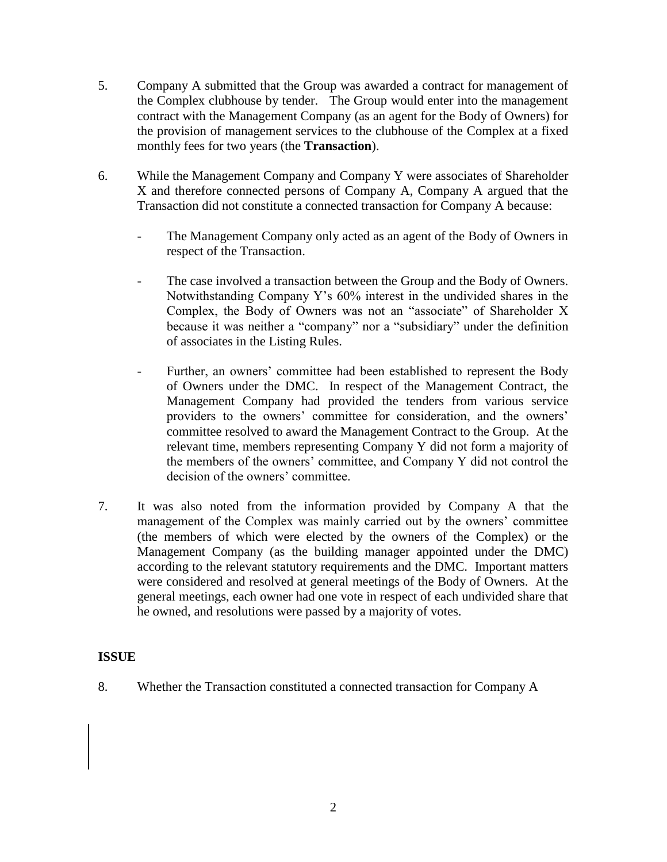- 5. Company A submitted that the Group was awarded a contract for management of the Complex clubhouse by tender. The Group would enter into the management contract with the Management Company (as an agent for the Body of Owners) for the provision of management services to the clubhouse of the Complex at a fixed monthly fees for two years (the **Transaction**).
- 6. While the Management Company and Company Y were associates of Shareholder X and therefore connected persons of Company A, Company A argued that the Transaction did not constitute a connected transaction for Company A because:
	- The Management Company only acted as an agent of the Body of Owners in respect of the Transaction.
	- The case involved a transaction between the Group and the Body of Owners. Notwithstanding Company Y's 60% interest in the undivided shares in the Complex, the Body of Owners was not an "associate" of Shareholder X because it was neither a "company" nor a "subsidiary" under the definition of associates in the Listing Rules.
	- Further, an owners' committee had been established to represent the Body of Owners under the DMC. In respect of the Management Contract, the Management Company had provided the tenders from various service providers to the owners' committee for consideration, and the owners' committee resolved to award the Management Contract to the Group. At the relevant time, members representing Company Y did not form a majority of the members of the owners' committee, and Company Y did not control the decision of the owners' committee.
- 7. It was also noted from the information provided by Company A that the management of the Complex was mainly carried out by the owners' committee (the members of which were elected by the owners of the Complex) or the Management Company (as the building manager appointed under the DMC) according to the relevant statutory requirements and the DMC. Important matters were considered and resolved at general meetings of the Body of Owners. At the general meetings, each owner had one vote in respect of each undivided share that he owned, and resolutions were passed by a majority of votes.

# **ISSUE**

8. Whether the Transaction constituted a connected transaction for Company A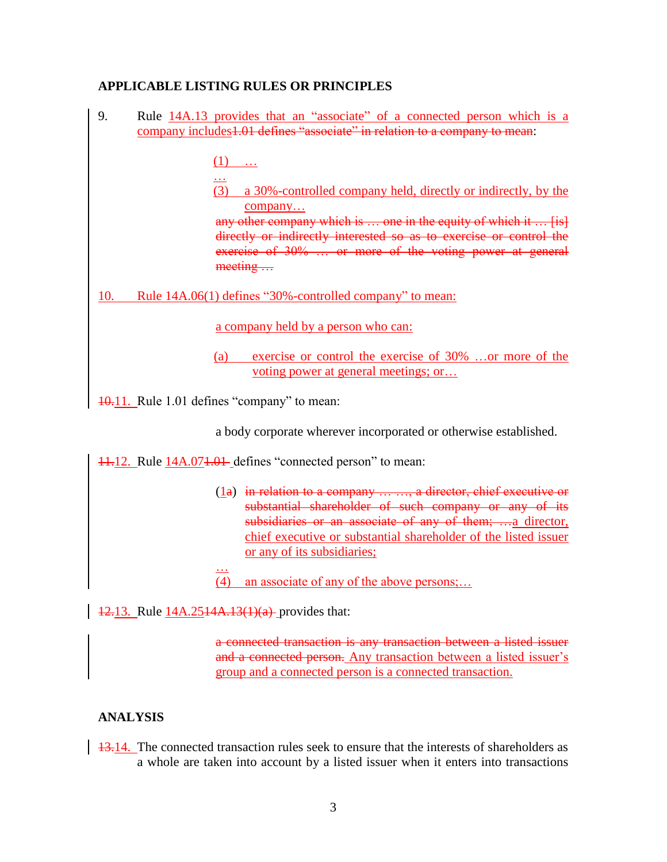## **APPLICABLE LISTING RULES OR PRINCIPLES**

- 9. Rule 14A.13 provides that an "associate" of a connected person which is a company includes<sup>1.01</sup> defines "associate" in relation to a company to mean:  $(1)$  ... … (3) a 30%-controlled company held, directly or indirectly, by the company… any other company which is ... one in the equity of which it ... [is] directly or indirectly interested so as to exercise or control the exercise of 30% ... or more of the voting power at general meeting … 10. Rule 14A.06(1) defines "30%-controlled company" to mean: a company held by a person who can: (a) exercise or control the exercise of 30% …or more of the voting power at general meetings; or…
- 10.11. Rule 1.01 defines "company" to mean:

a body corporate wherever incorporated or otherwise established.

11.12. Rule 14A.071.01 defines "connected person" to mean:

- (1a) in relation to a company … …, a director, chief executive or substantial shareholder of such company or any of its subsidiaries or an associate of any of them; ...a director, chief executive or substantial shareholder of the listed issuer or any of its subsidiaries;
- (4) an associate of any of the above persons;…

12.13. Rule 14A.2514A.13(1)(a) provides that:

…

a connected transaction is any transaction between a listed issuer and a connected person. Any transaction between a listed issuer's group and a connected person is a connected transaction.

#### **ANALYSIS**

13.14. The connected transaction rules seek to ensure that the interests of shareholders as a whole are taken into account by a listed issuer when it enters into transactions